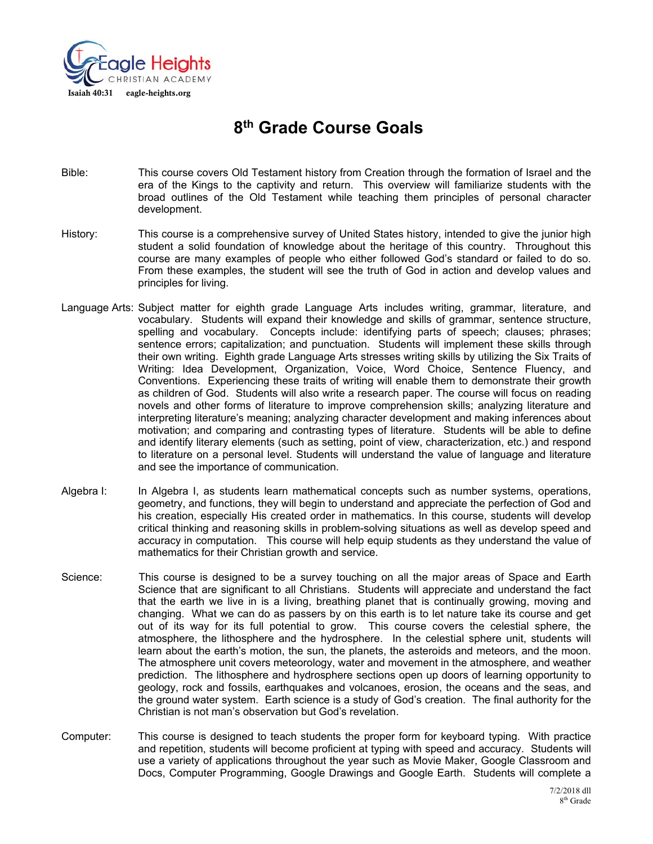

# **8th Grade Course Goals**

- Bible: This course covers Old Testament history from Creation through the formation of Israel and the era of the Kings to the captivity and return. This overview will familiarize students with the broad outlines of the Old Testament while teaching them principles of personal character development.
- History: This course is a comprehensive survey of United States history, intended to give the junior high student a solid foundation of knowledge about the heritage of this country. Throughout this course are many examples of people who either followed God's standard or failed to do so. From these examples, the student will see the truth of God in action and develop values and principles for living.
- Language Arts: Subject matter for eighth grade Language Arts includes writing, grammar, literature, and vocabulary. Students will expand their knowledge and skills of grammar, sentence structure, spelling and vocabulary. Concepts include: identifying parts of speech; clauses; phrases; sentence errors; capitalization; and punctuation. Students will implement these skills through their own writing. Eighth grade Language Arts stresses writing skills by utilizing the Six Traits of Writing: Idea Development, Organization, Voice, Word Choice, Sentence Fluency, and Conventions. Experiencing these traits of writing will enable them to demonstrate their growth as children of God. Students will also write a research paper. The course will focus on reading novels and other forms of literature to improve comprehension skills; analyzing literature and interpreting literature's meaning; analyzing character development and making inferences about motivation; and comparing and contrasting types of literature. Students will be able to define and identify literary elements (such as setting, point of view, characterization, etc.) and respond to literature on a personal level. Students will understand the value of language and literature and see the importance of communication.
- Algebra I: In Algebra I, as students learn mathematical concepts such as number systems, operations, geometry, and functions, they will begin to understand and appreciate the perfection of God and his creation, especially His created order in mathematics. In this course, students will develop critical thinking and reasoning skills in problem-solving situations as well as develop speed and accuracy in computation. This course will help equip students as they understand the value of mathematics for their Christian growth and service.
- Science: This course is designed to be a survey touching on all the major areas of Space and Earth Science that are significant to all Christians. Students will appreciate and understand the fact that the earth we live in is a living, breathing planet that is continually growing, moving and changing. What we can do as passers by on this earth is to let nature take its course and get out of its way for its full potential to grow. This course covers the celestial sphere, the atmosphere, the lithosphere and the hydrosphere. In the celestial sphere unit, students will learn about the earth's motion, the sun, the planets, the asteroids and meteors, and the moon. The atmosphere unit covers meteorology, water and movement in the atmosphere, and weather prediction. The lithosphere and hydrosphere sections open up doors of learning opportunity to geology, rock and fossils, earthquakes and volcanoes, erosion, the oceans and the seas, and the ground water system. Earth science is a study of God's creation. The final authority for the Christian is not man's observation but God's revelation.
- Computer: This course is designed to teach students the proper form for keyboard typing. With practice and repetition, students will become proficient at typing with speed and accuracy. Students will use a variety of applications throughout the year such as Movie Maker, Google Classroom and Docs, Computer Programming, Google Drawings and Google Earth. Students will complete a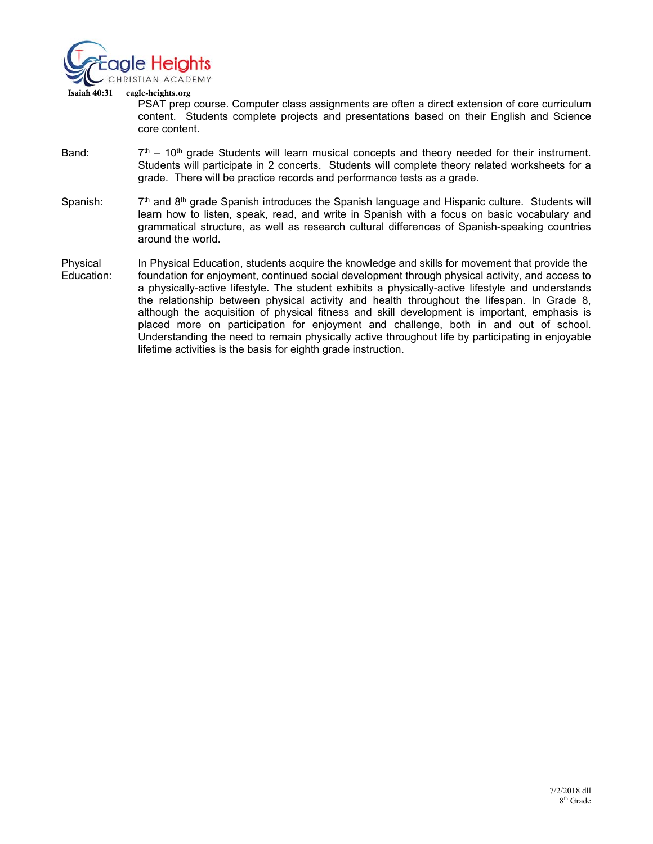

 Isaiah 40:31 eagle-heights.org PSAT prep course. Computer class assignments are often a direct extension of core curriculum content. Students complete projects and presentations based on their English and Science core content.

- Band:  $7<sup>th</sup> 10<sup>th</sup>$  grade Students will learn musical concepts and theory needed for their instrument. Students will participate in 2 concerts. Students will complete theory related worksheets for a grade. There will be practice records and performance tests as a grade.
- Spanish:  $7<sup>th</sup>$  and  $8<sup>th</sup>$  grade Spanish introduces the Spanish language and Hispanic culture. Students will learn how to listen, speak, read, and write in Spanish with a focus on basic vocabulary and grammatical structure, as well as research cultural differences of Spanish-speaking countries around the world.
- Physical In Physical Education, students acquire the knowledge and skills for movement that provide the Education: foundation for enjoyment, continued social development through physical activity, and access to a physically-active lifestyle. The student exhibits a physically-active lifestyle and understands the relationship between physical activity and health throughout the lifespan. In Grade 8, although the acquisition of physical fitness and skill development is important, emphasis is placed more on participation for enjoyment and challenge, both in and out of school. Understanding the need to remain physically active throughout life by participating in enjoyable lifetime activities is the basis for eighth grade instruction.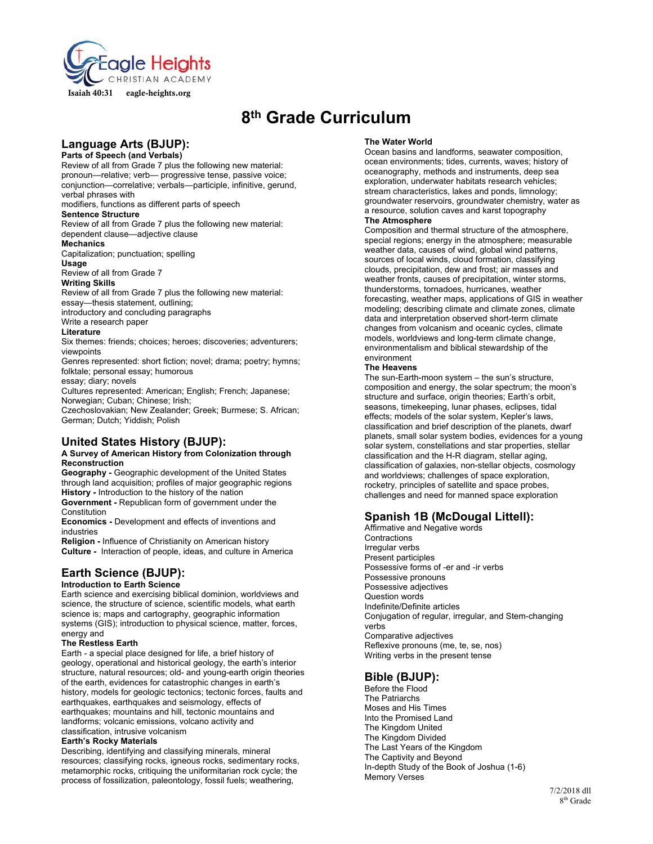

# **8th Grade Curriculum**

# **Language Arts (BJUP):**

#### **Parts of Speech (and Verbals)**  Review of all from Grade 7 plus the following new material: pronoun—relative; verb— progressive tense, passive voice;

conjunction—correlative; verbals—participle, infinitive, gerund, verbal phrases with

modifiers, functions as different parts of speech

### **Sentence Structure**

Review of all from Grade 7 plus the following new material: dependent clause—adjective clause

#### **Mechanics**

Capitalization; punctuation; spelling

## **Usage**

Review of all from Grade 7

# **Writing Skills**

Review of all from Grade 7 plus the following new material: essay—thesis statement, outlining;

introductory and concluding paragraphs Write a research paper

### **Literature**

Six themes: friends; choices; heroes; discoveries; adventurers; viewpoints

Genres represented: short fiction; novel; drama; poetry; hymns; folktale; personal essay; humorous essay; diary; novels

Cultures represented: American; English; French; Japanese; Norwegian; Cuban; Chinese; Irish;

Czechoslovakian; New Zealander; Greek; Burmese; S. African; German; Dutch; Yiddish; Polish

# **United States History (BJUP):**

#### **A Survey of American History from Colonization through Reconstruction**

**Geography -** Geographic development of the United States through land acquisition; profiles of major geographic regions **History -** Introduction to the history of the nation

**Government -** Republican form of government under the Constitution

**Economics -** Development and effects of inventions and industries

**Religion -** Influence of Christianity on American history **Culture -** Interaction of people, ideas, and culture in America

# **Earth Science (BJUP):**

#### **Introduction to Earth Science**

Earth science and exercising biblical dominion, worldviews and science, the structure of science, scientific models, what earth science is; maps and cartography, geographic information systems (GIS); introduction to physical science, matter, forces, energy and

#### **The Restless Earth**

Earth - a special place designed for life, a brief history of geology, operational and historical geology, the earth's interior structure, natural resources; old- and young-earth origin theories of the earth, evidences for catastrophic changes in earth's history, models for geologic tectonics; tectonic forces, faults and earthquakes, earthquakes and seismology, effects of earthquakes; mountains and hill, tectonic mountains and landforms; volcanic emissions, volcano activity and classification, intrusive volcanism

#### **Earth's Rocky Materials**

Describing, identifying and classifying minerals, mineral resources; classifying rocks, igneous rocks, sedimentary rocks, metamorphic rocks, critiquing the uniformitarian rock cycle; the process of fossilization, paleontology, fossil fuels; weathering,

#### **The Water World**

Ocean basins and landforms, seawater composition, ocean environments; tides, currents, waves; history of oceanography, methods and instruments, deep sea exploration, underwater habitats research vehicles; stream characteristics, lakes and ponds, limnology; groundwater reservoirs, groundwater chemistry, water as a resource, solution caves and karst topography

### **The Atmosphere**

Composition and thermal structure of the atmosphere, special regions; energy in the atmosphere; measurable weather data, causes of wind, global wind patterns, sources of local winds, cloud formation, classifying clouds, precipitation, dew and frost; air masses and weather fronts, causes of precipitation, winter storms, thunderstorms, tornadoes, hurricanes, weather forecasting, weather maps, applications of GIS in weather modeling; describing climate and climate zones, climate data and interpretation observed short-term climate changes from volcanism and oceanic cycles, climate models, worldviews and long-term climate change, environmentalism and biblical stewardship of the environment

#### **The Heavens**

The sun-Earth-moon system – the sun's structure, composition and energy, the solar spectrum; the moon's structure and surface, origin theories; Earth's orbit, seasons, timekeeping, lunar phases, eclipses, tidal effects; models of the solar system, Kepler's laws, classification and brief description of the planets, dwarf planets, small solar system bodies, evidences for a young solar system, constellations and star properties, stellar classification and the H-R diagram, stellar aging, classification of galaxies, non-stellar objects, cosmology and worldviews; challenges of space exploration, rocketry, principles of satellite and space probes, challenges and need for manned space exploration

# **Spanish 1B (McDougal Littell):**

Affirmative and Negative words **Contractions** Irregular verbs Present participles Possessive forms of -er and -ir verbs Possessive pronouns Possessive adjectives Question words Indefinite/Definite articles Conjugation of regular, irregular, and Stem-changing verbs Comparative adjectives Reflexive pronouns (me, te, se, nos) Writing verbs in the present tense

## **Bible (BJUP):**

Before the Flood The Patriarchs Moses and His Times Into the Promised Land The Kingdom United The Kingdom Divided The Last Years of the Kingdom The Captivity and Beyond In-depth Study of the Book of Joshua (1-6) Memory Verses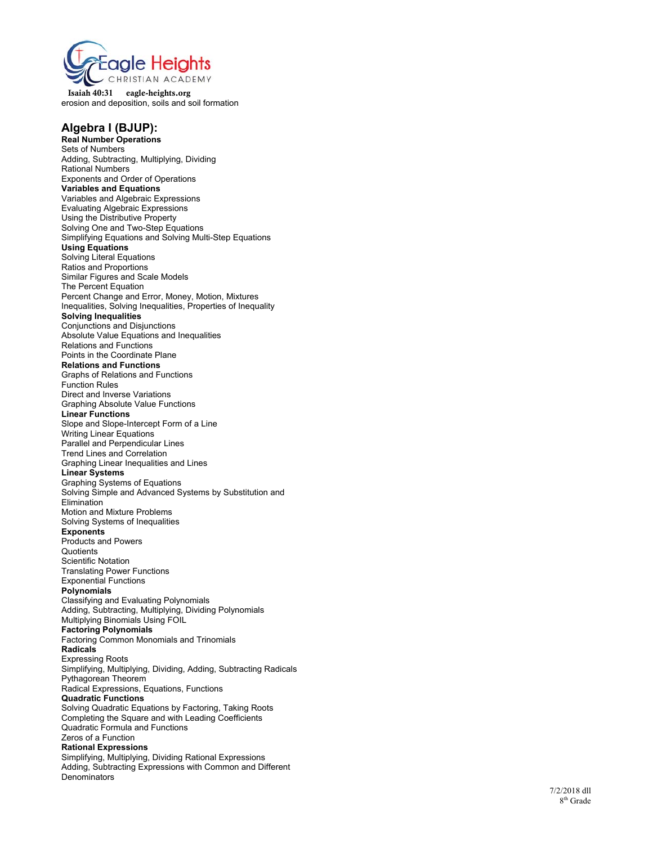

 Isaiah 40:31 eagle-heights.org erosion and deposition, soils and soil formation

# **Algebra I (BJUP):**

**Real Number Operations**  Sets of Numbers Adding, Subtracting, Multiplying, Dividing Rational Numbers Exponents and Order of Operations **Variables and Equations**  Variables and Algebraic Expressions Evaluating Algebraic Expressions Using the Distributive Property Solving One and Two-Step Equations Simplifying Equations and Solving Multi-Step Equations **Using Equations**  Solving Literal Equations Ratios and Proportions Similar Figures and Scale Models The Percent Equation Percent Change and Error, Money, Motion, Mixtures Inequalities, Solving Inequalities, Properties of Inequality **Solving Inequalities**  Conjunctions and Disjunctions Absolute Value Equations and Inequalities Relations and Functions Points in the Coordinate Plane **Relations and Functions**  Graphs of Relations and Functions Function Rules Direct and Inverse Variations Graphing Absolute Value Functions **Linear Functions**  Slope and Slope-Intercept Form of a Line Writing Linear Equations Parallel and Perpendicular Lines Trend Lines and Correlation Graphing Linear Inequalities and Lines **Linear Systems**  Graphing Systems of Equations Solving Simple and Advanced Systems by Substitution and **Elimination** Motion and Mixture Problems Solving Systems of Inequalities **Exponents**  Products and Powers **Quotients** Scientific Notation Translating Power Functions Exponential Functions **Polynomials**  Classifying and Evaluating Polynomials Adding, Subtracting, Multiplying, Dividing Polynomials Multiplying Binomials Using FOIL **Factoring Polynomials**  Factoring Common Monomials and Trinomials **Radicals**  Expressing Roots Simplifying, Multiplying, Dividing, Adding, Subtracting Radicals Pythagorean Theorem Radical Expressions, Equations, Functions **Quadratic Functions**  Solving Quadratic Equations by Factoring, Taking Roots Completing the Square and with Leading Coefficients Quadratic Formula and Functions Zeros of a Function **Rational Expressions**  Simplifying, Multiplying, Dividing Rational Expressions Adding, Subtracting Expressions with Common and Different **Denominators**